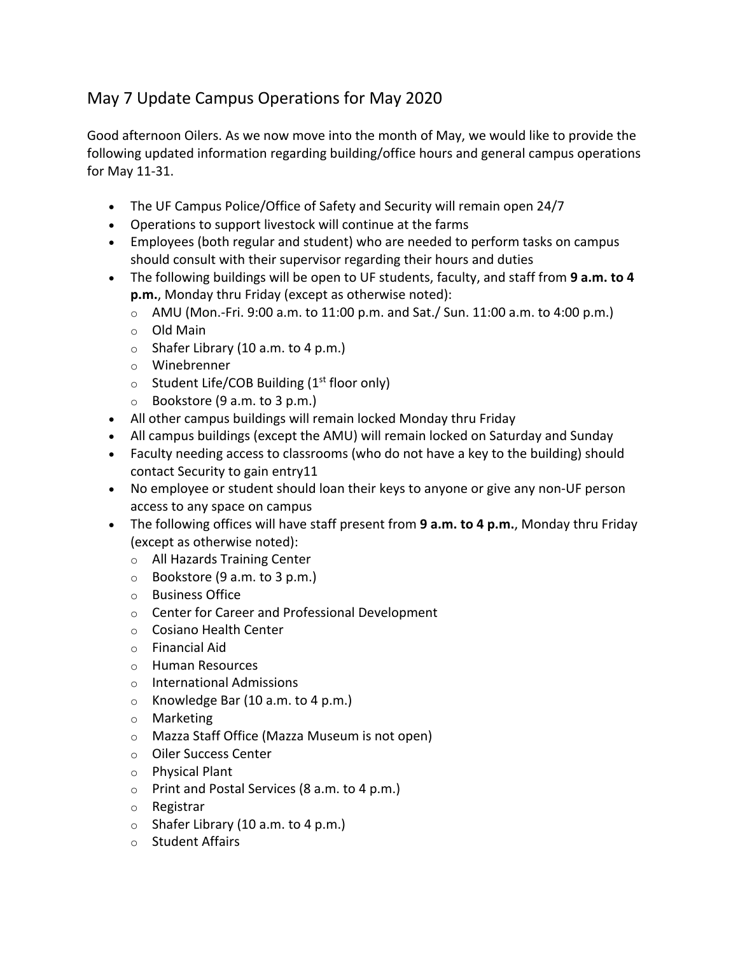## May 7 Update Campus Operations for May 2020

Good afternoon Oilers. As we now move into the month of May, we would like to provide the following updated information regarding building/office hours and general campus operations for May 11-31.

- The UF Campus Police/Office of Safety and Security will remain open 24/7
- Operations to support livestock will continue at the farms
- Employees (both regular and student) who are needed to perform tasks on campus should consult with their supervisor regarding their hours and duties
- The following buildings will be open to UF students, faculty, and staff from **9 a.m. to 4 p.m.**, Monday thru Friday (except as otherwise noted):
	- $\circ$  AMU (Mon.-Fri. 9:00 a.m. to 11:00 p.m. and Sat./ Sun. 11:00 a.m. to 4:00 p.m.)
	- o Old Main
	- $\circ$  Shafer Library (10 a.m. to 4 p.m.)
	- o Winebrenner
	- $\circ$  Student Life/COB Building (1<sup>st</sup> floor only)
	- $\circ$  Bookstore (9 a.m. to 3 p.m.)
- All other campus buildings will remain locked Monday thru Friday
- All campus buildings (except the AMU) will remain locked on Saturday and Sunday
- Faculty needing access to classrooms (who do not have a key to the building) should contact Security to gain entry11
- No employee or student should loan their keys to anyone or give any non-UF person access to any space on campus
- The following offices will have staff present from **9 a.m. to 4 p.m.**, Monday thru Friday (except as otherwise noted):
	- o All Hazards Training Center
	- $\circ$  Bookstore (9 a.m. to 3 p.m.)
	- o Business Office
	- o Center for Career and Professional Development
	- o Cosiano Health Center
	- o Financial Aid
	- o Human Resources
	- o International Admissions
	- $\circ$  Knowledge Bar (10 a.m. to 4 p.m.)
	- o Marketing
	- o Mazza Staff Office (Mazza Museum is not open)
	- o Oiler Success Center
	- o Physical Plant
	- o Print and Postal Services (8 a.m. to 4 p.m.)
	- o Registrar
	- $\circ$  Shafer Library (10 a.m. to 4 p.m.)
	- o Student Affairs